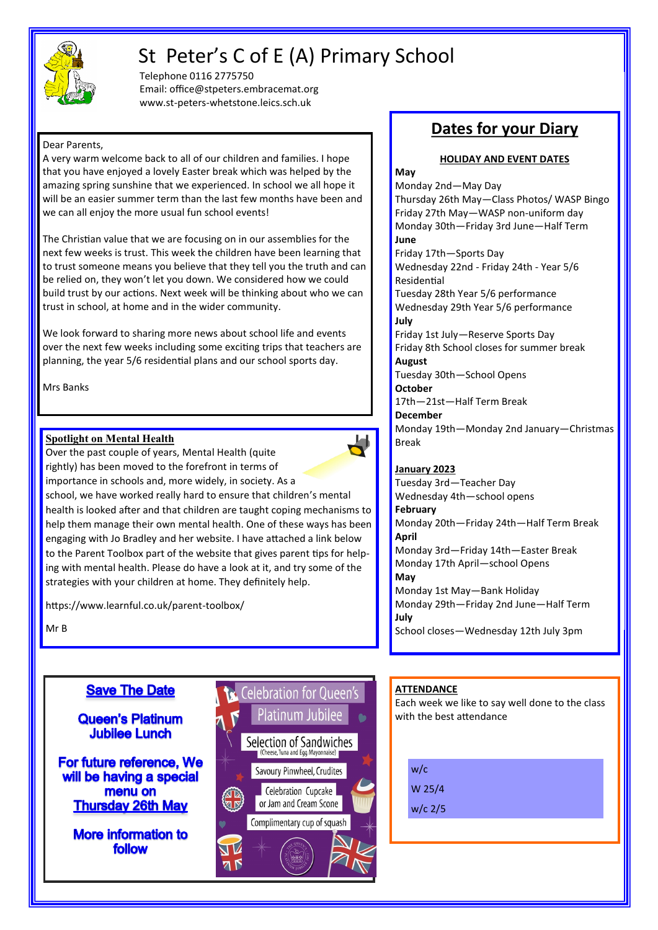

# St Peter's C of E (A) Primary School

Telephone 0116 2775750 Email: office@stpeters.embracemat.org www.st-peters-whetstone.leics.sch.uk

### Dear Parents,

A very warm welcome back to all of our children and families. I hope that you have enjoyed a lovely Easter break which was helped by the amazing spring sunshine that we experienced. In school we all hope it will be an easier summer term than the last few months have been and we can all enjoy the more usual fun school events!

The Christian value that we are focusing on in our assemblies for the next few weeks is trust. This week the children have been learning that to trust someone means you believe that they tell you the truth and can be relied on, they won't let you down. We considered how we could build trust by our actions. Next week will be thinking about who we can trust in school, at home and in the wider community.

We look forward to sharing more news about school life and events over the next few weeks including some exciting trips that teachers are planning, the year 5/6 residential plans and our school sports day.

Mrs Banks

### **Spotlight on Mental Health**

 $\overline{\phantom{a}}$ Over the past couple of years, Mental Health (quite rightly) has been moved to the forefront in terms of importance in schools and, more widely, in society. As a school, we have worked really hard to ensure that children's mental health is looked after and that children are taught coping mechanisms to help them manage their own mental health. One of these ways has been engaging with Jo Bradley and her website. I have attached a link below to the Parent Toolbox part of the website that gives parent tips for helping with mental health. Please do have a look at it, and try some of the strategies with your children at home. They definitely help.

https://www.learnful.co.uk/parent-toolbox/

Mr B

### **Save The Date**

### **Queen's Platinum Jubilee Lunch**

For future reference, We will be having a special menu on **Thursday 26th May** 

**More information to** follow



## **Dates for your Diary**

### **HOLIDAY AND EVENT DATES**

**May** Monday 2nd—May Day Thursday 26th May—Class Photos/ WASP Bingo Friday 27th May—WASP non-uniform day Monday 30th—Friday 3rd June—Half Term **June** Friday 17th—Sports Day Wednesday 22nd - Friday 24th - Year 5/6 Residential Tuesday 28th Year 5/6 performance Wednesday 29th Year 5/6 performance **July** Friday 1st July—Reserve Sports Day Friday 8th School closes for summer break **August** Tuesday 30th—School Opens **October** 17th—21st—Half Term Break **December** Monday 19th—Monday 2nd January—Christmas Break **January 2023** Tuesday 3rd—Teacher Day Wednesday 4th—school opens **February** Monday 20th—Friday 24th—Half Term Break **April** Monday 3rd—Friday 14th—Easter Break Monday 17th April—school Opens

**May** Monday 1st May—Bank Holiday Monday 29th—Friday 2nd June—Half Term **July** School closes—Wednesday 12th July 3pm

### **ATTENDANCE**

Each week we like to say well done to the class with the best attendance

w/c W 25/4

w/c 2/5